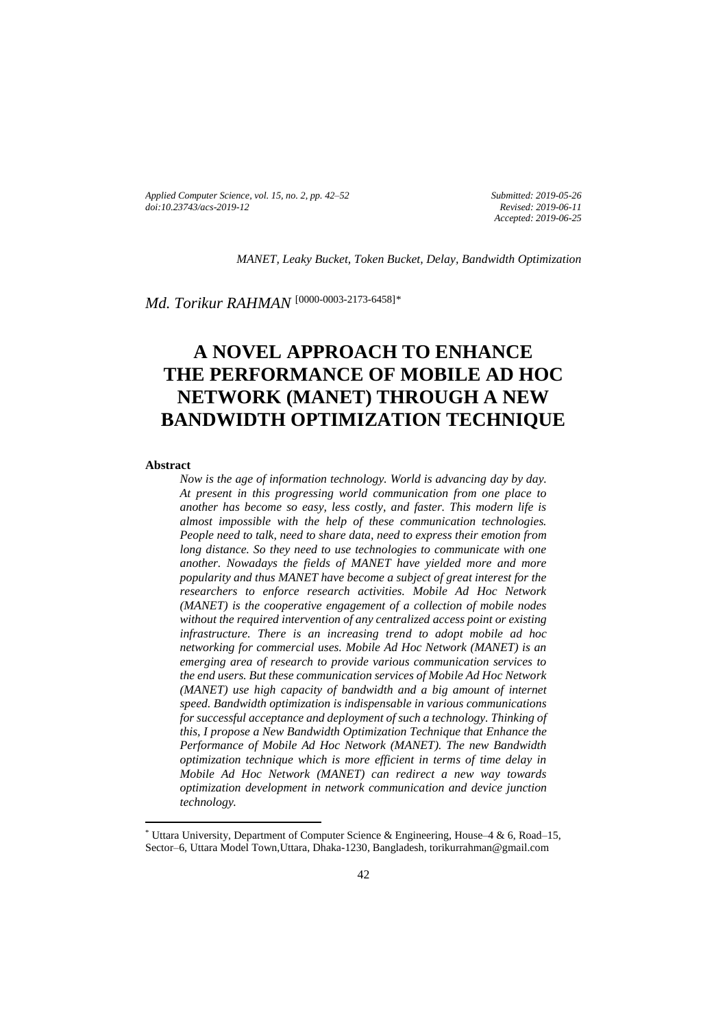*Applied Computer Science, vol. 15, no. 2, pp. 42–52 [doi:10.23743/acs-2019-12](http://acs.pollub.pl/pdf/v15n2/4.pdf)*

*Submitted: 2019-05-26 Revised: 2019-06-11 Accepted: 2019-06-25*

*MANET, Leaky Bucket, Token Bucket, Delay, Bandwidth Optimization*

*Md. Torikur RAHMAN* [\[0000-0003-2173-6458\]](https://orcid.org/0000-0003-2173-6458)*\**

# **A NOVEL APPROACH TO ENHANCE THE PERFORMANCE OF MOBILE AD HOC NETWORK (MANET) THROUGH A NEW BANDWIDTH OPTIMIZATION TECHNIQUE**

#### **Abstract**

 $\overline{\phantom{a}}$ 

*Now is the age of information technology. World is advancing day by day. At present in this progressing world communication from one place to another has become so easy, less costly, and faster. This modern life is almost impossible with the help of these communication technologies. People need to talk, need to share data, need to express their emotion from long distance. So they need to use technologies to communicate with one another. Nowadays the fields of MANET have yielded more and more popularity and thus MANET have become a subject of great interest for the researchers to enforce research activities. Mobile Ad Hoc Network (MANET) is the cooperative engagement of a collection of mobile nodes without the required intervention of any centralized access point or existing infrastructure. There is an increasing trend to adopt mobile ad hoc networking for commercial uses. Mobile Ad Hoc Network (MANET) is an emerging area of research to provide various communication services to the end users. But these communication services of Mobile Ad Hoc Network (MANET) use high capacity of bandwidth and a big amount of internet speed. Bandwidth optimization is indispensable in various communications for successful acceptance and deployment of such a technology. Thinking of this, I propose a New Bandwidth Optimization Technique that Enhance the Performance of Mobile Ad Hoc Network (MANET). The new Bandwidth optimization technique which is more efficient in terms of time delay in Mobile Ad Hoc Network (MANET) can redirect a new way towards optimization development in network communication and device junction technology.*

<sup>\*</sup> Uttara University, Department of Computer Science & Engineering, House–4 & 6, Road–15, Sector–6, Uttara Model Town,Uttara, Dhaka-1230, Bangladesh, torikurrahman@gmail.com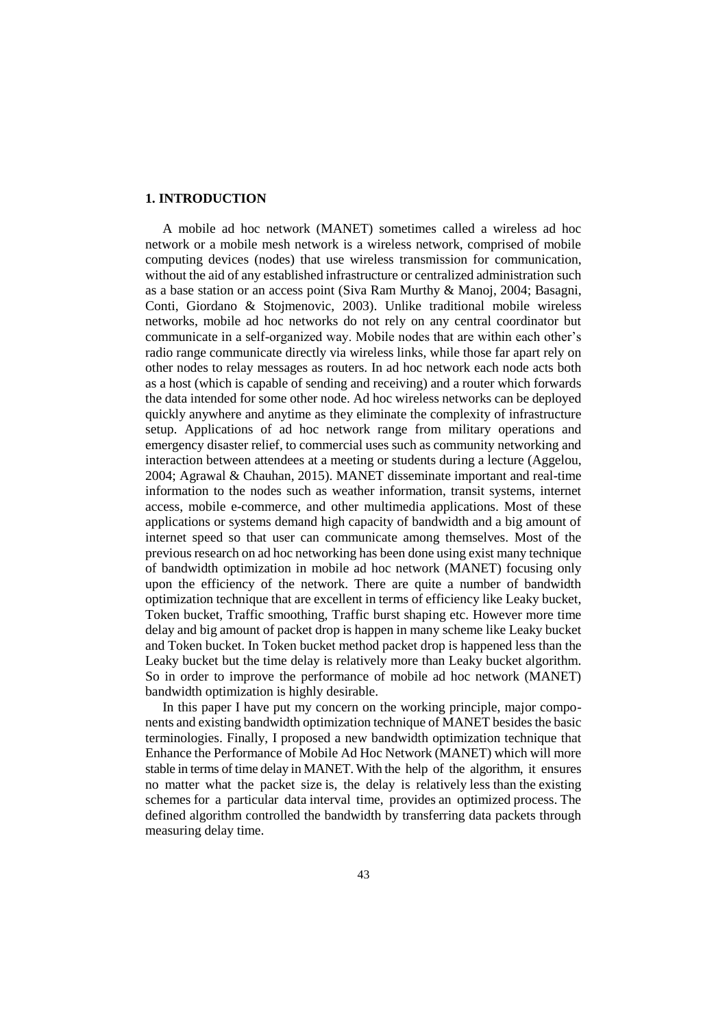### **1. INTRODUCTION**

A mobile ad hoc network (MANET) sometimes called a wireless ad hoc network or a mobile mesh network is a wireless network, comprised of mobile computing devices (nodes) that use wireless transmission for communication, without the aid of any established infrastructure or centralized administration such as a base station or an access point (Siva Ram Murthy & Manoj, 2004; Basagni, Conti, Giordano & Stojmenovic, 2003). Unlike traditional mobile wireless networks, mobile ad hoc networks do not rely on any central coordinator but communicate in a self-organized way. Mobile nodes that are within each other's radio range communicate directly via wireless links, while those far apart rely on other nodes to relay messages as routers. In ad hoc network each node acts both as a host (which is capable of sending and receiving) and a router which forwards the data intended for some other node. Ad hoc wireless networks can be deployed quickly anywhere and anytime as they eliminate the complexity of infrastructure setup. Applications of ad hoc network range from military operations and emergency disaster relief, to commercial uses such as community networking and interaction between attendees at a meeting or students during a lecture (Aggelou, 2004; Agrawal & Chauhan, 2015). MANET disseminate important and real-time information to the nodes such as weather information, transit systems, internet access, mobile e-commerce, and other multimedia applications. Most of these applications or systems demand high capacity of bandwidth and a big amount of internet speed so that user can communicate among themselves. Most of the previous research on ad hoc networking has been done using exist many technique of bandwidth optimization in mobile ad hoc network (MANET) focusing only upon the efficiency of the network. There are quite a number of bandwidth optimization technique that are excellent in terms of efficiency like Leaky bucket, Token bucket, Traffic smoothing, Traffic burst shaping etc. However more time delay and big amount of packet drop is happen in many scheme like Leaky bucket and Token bucket. In Token bucket method packet drop is happened less than the Leaky bucket but the time delay is relatively more than Leaky bucket algorithm. So in order to improve the performance of mobile ad hoc network (MANET) bandwidth optimization is highly desirable.

In this paper I have put my concern on the working principle, major components and existing bandwidth optimization technique of MANET besides the basic terminologies. Finally, I proposed a new bandwidth optimization technique that Enhance the Performance of Mobile Ad Hoc Network (MANET) which will more stable in terms of time delay in MANET. With the help of the algorithm, it ensures no matter what the packet size is, the delay is relatively less than the existing schemes for a particular data interval time, provides an optimized process. The defined algorithm controlled the bandwidth by transferring data packets through measuring delay time.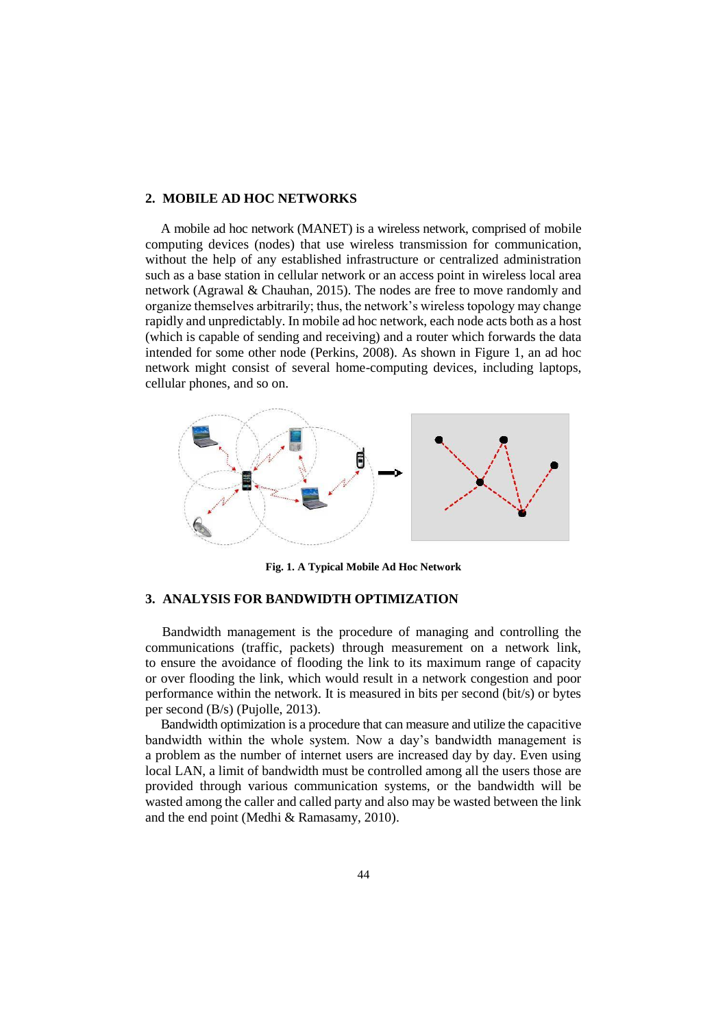#### **2. MOBILE AD HOC NETWORKS**

 A mobile ad hoc network (MANET) is a wireless network, comprised of mobile computing devices (nodes) that use wireless transmission for communication, without the help of any established infrastructure or centralized administration such as a base station in cellular network or an access point in wireless local area network (Agrawal & Chauhan, 2015). The nodes are free to move randomly and organize themselves arbitrarily; thus, the network's wireless topology may change rapidly and unpredictably. In mobile ad hoc network, each node acts both as a host (which is capable of sending and receiving) and a router which forwards the data intended for some other node (Perkins, 2008). As shown in Figure 1, an ad hoc network might consist of several home-computing devices, including laptops, cellular phones, and so on.



**Fig. 1. A Typical Mobile Ad Hoc Network**

## **3. ANALYSIS FOR BANDWIDTH OPTIMIZATION**

 Bandwidth management is the procedure of managing and controlling the communications (traffic, packets) through measurement on a network link, to ensure the avoidance of flooding the link to its maximum range of capacity or over flooding the link, which would result in a network congestion and poor performance within the network. It is measured in bits per second (bit/s) or bytes per second (B/s) (Pujolle, 2013).

 Bandwidth optimization is a procedure that can measure and utilize the capacitive bandwidth within the whole system. Now a day's bandwidth management is a problem as the number of internet users are increased day by day. Even using local LAN, a limit of bandwidth must be controlled among all the users those are provided through various communication systems, or the bandwidth will be wasted among the caller and called party and also may be wasted between the link and the end point (Medhi & Ramasamy, 2010).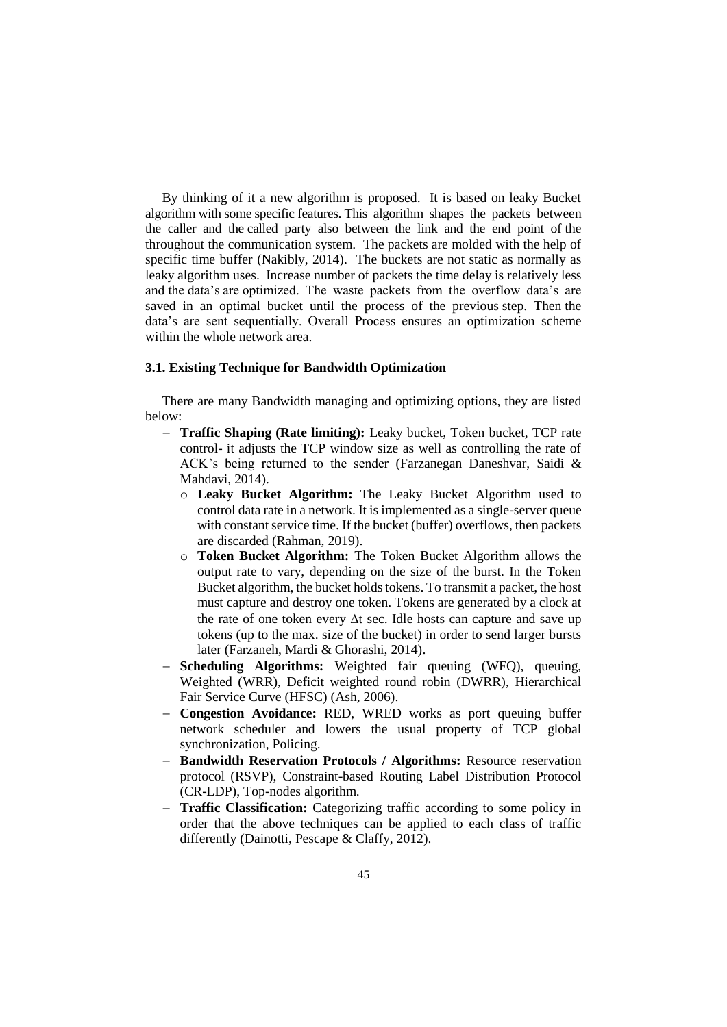By thinking of it a new algorithm is proposed. It is based on leaky Bucket algorithm with some specific features. This algorithm shapes the packets between the caller and the called party also between the link and the end point of the throughout the communication system. The packets are molded with the help of specific time buffer (Nakibly, 2014). The buckets are not static as normally as leaky algorithm uses. Increase number of packets the time delay is relatively less and the data's are optimized. The waste packets from the overflow data's are saved in an optimal bucket until the process of the previous step. Then the data's are sent sequentially. Overall Process ensures an optimization scheme within the whole network area.

## **3.1. Existing Technique for Bandwidth Optimization**

 There are many Bandwidth managing and optimizing options, they are listed below:

- **Traffic Shaping (Rate limiting):** Leaky bucket, Token bucket, TCP rate control- it adjusts the TCP window size as well as controlling the rate of ACK's being returned to the sender (Farzanegan Daneshvar, Saidi & Mahdavi, 2014).
	- o **Leaky Bucket Algorithm:** The Leaky Bucket Algorithm used to control data rate in a network. It is implemented as a single-server queue with constant service time. If the bucket (buffer) overflows, then packets are discarded (Rahman, 2019).
	- o **Token Bucket Algorithm:** The Token Bucket Algorithm allows the output rate to vary, depending on the size of the burst. In the Token Bucket algorithm, the bucket holds tokens. To transmit a packet, the host must capture and destroy one token. Tokens are generated by a clock at the rate of one token every  $\Delta t$  sec. Idle hosts can capture and save up tokens (up to the max. size of the bucket) in order to send larger bursts later (Farzaneh, Mardi & Ghorashi, 2014).
- **Scheduling Algorithms:** Weighted fair queuing (WFQ), queuing, Weighted (WRR), Deficit weighted round robin (DWRR), Hierarchical Fair Service Curve (HFSC) (Ash, 2006).
- **Congestion Avoidance:** RED, WRED works as port queuing buffer network scheduler and lowers the usual property of TCP global synchronization, Policing.
- **Bandwidth Reservation Protocols / Algorithms:** Resource reservation protocol (RSVP), Constraint-based Routing Label Distribution Protocol (CR-LDP), Top-nodes algorithm.
- **Traffic Classification:** Categorizing traffic according to some policy in order that the above techniques can be applied to each class of traffic differently (Dainotti, Pescape & Claffy, 2012).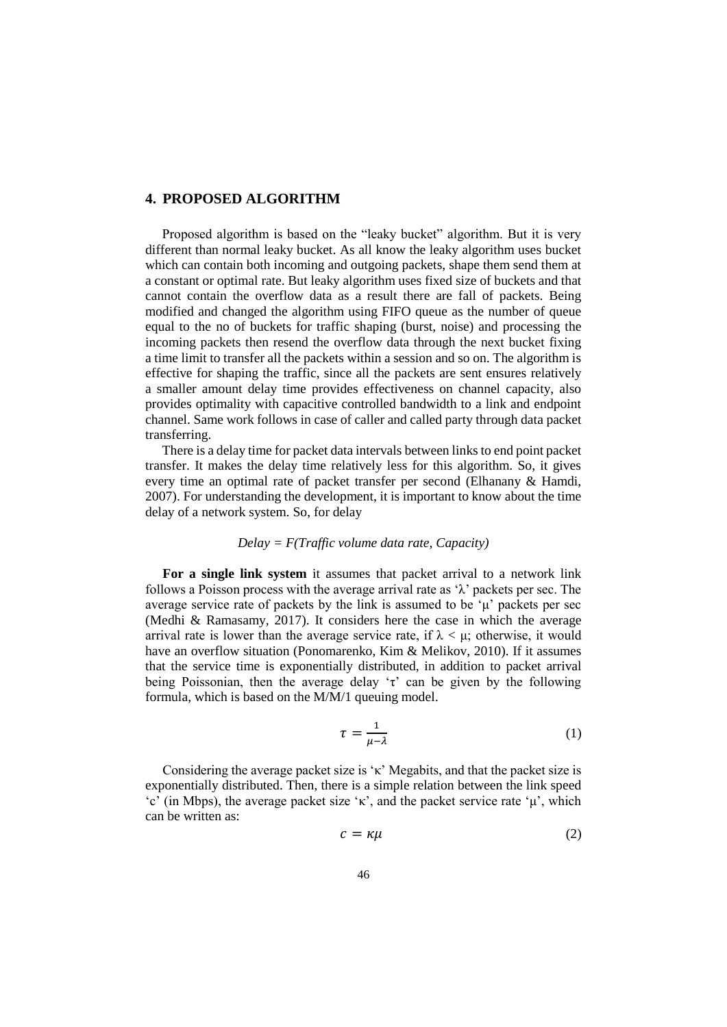## **4. PROPOSED ALGORITHM**

 Proposed algorithm is based on the "leaky bucket" algorithm. But it is very different than normal leaky bucket. As all know the leaky algorithm uses bucket which can contain both incoming and outgoing packets, shape them send them at a constant or optimal rate. But leaky algorithm uses fixed size of buckets and that cannot contain the overflow data as a result there are fall of packets. Being modified and changed the algorithm using FIFO queue as the number of queue equal to the no of buckets for traffic shaping (burst, noise) and processing the incoming packets then resend the overflow data through the next bucket fixing a time limit to transfer all the packets within a session and so on. The algorithm is effective for shaping the traffic, since all the packets are sent ensures relatively a smaller amount delay time provides effectiveness on channel capacity, also provides optimality with capacitive controlled bandwidth to a link and endpoint channel. Same work follows in case of caller and called party through data packet transferring.

 There is a delay time for packet data intervals between links to end point packet transfer. It makes the delay time relatively less for this algorithm. So, it gives every time an optimal rate of packet transfer per second (Elhanany & Hamdi, 2007). For understanding the development, it is important to know about the time delay of a network system. So, for delay

## *Delay = F(Traffic volume data rate, Capacity)*

**For a single link system** it assumes that packet arrival to a network link follows a Poisson process with the average arrival rate as  $\lambda$  packets per sec. The average service rate of packets by the link is assumed to be  $\mu$  packets per sec (Medhi & Ramasamy, 2017). It considers here the case in which the average arrival rate is lower than the average service rate, if  $\lambda < \mu$ ; otherwise, it would have an overflow situation (Ponomarenko, Kim & Melikov, 2010). If it assumes that the service time is exponentially distributed, in addition to packet arrival being Poissonian, then the average delay ' $\tau$ ' can be given by the following formula, which is based on the M/M/1 queuing model.

$$
\tau = \frac{1}{\mu - \lambda} \tag{1}
$$

Considering the average packet size is 'κ' Megabits, and that the packet size is exponentially distributed. Then, there is a simple relation between the link speed  $\langle c^{\prime}$  (in Mbps), the average packet size ' $\kappa$ ', and the packet service rate 'μ', which can be written as:

$$
c = \kappa \mu \tag{2}
$$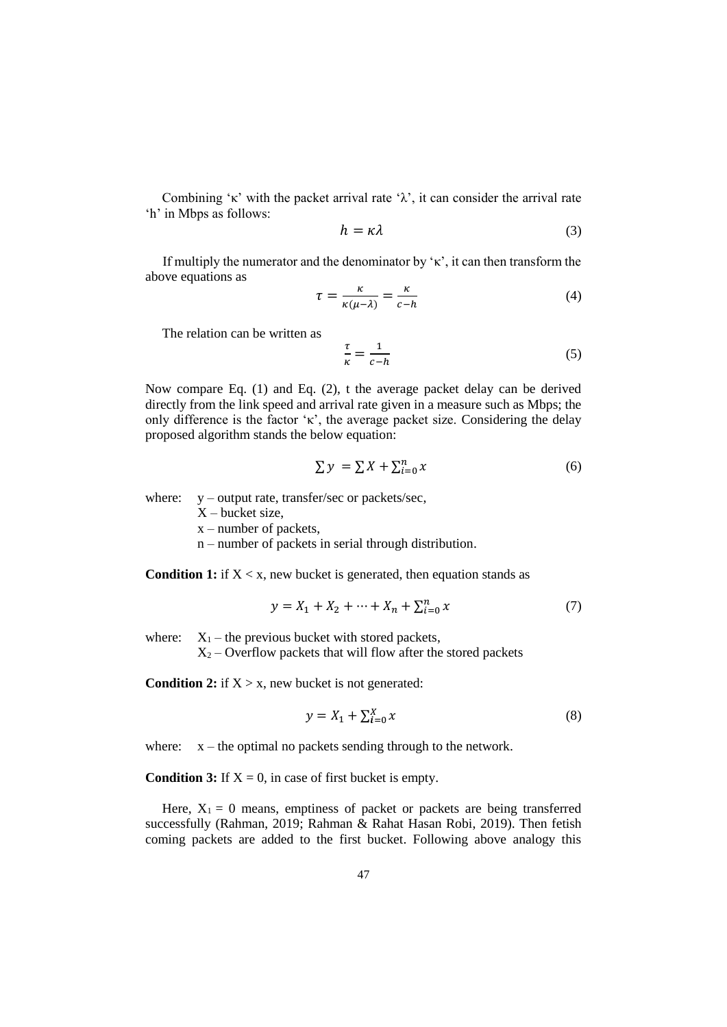Combining '<sup>k</sup>' with the packet arrival rate ' $\lambda$ ', it can consider the arrival rate 'h' in Mbps as follows:

$$
h = \kappa \lambda \tag{3}
$$

If multiply the numerator and the denominator by ' $\kappa$ ', it can then transform the above equations as

$$
\tau = \frac{\kappa}{\kappa(\mu - \lambda)} = \frac{\kappa}{c - h} \tag{4}
$$

The relation can be written as

$$
\frac{\tau}{\kappa} = \frac{1}{c - h} \tag{5}
$$

Now compare Eq. (1) and Eq. (2), t the average packet delay can be derived directly from the link speed and arrival rate given in a measure such as Mbps; the only difference is the factor ' $\kappa$ ', the average packet size. Considering the delay proposed algorithm stands the below equation:

$$
\sum y = \sum X + \sum_{i=0}^{n} x \tag{6}
$$

where: y – output rate, transfer/sec or packets/sec,

 $X$  – bucket size,

x – number of packets,

n – number of packets in serial through distribution.

**Condition 1:** if  $X \leq x$ , new bucket is generated, then equation stands as

$$
y = X_1 + X_2 + \dots + X_n + \sum_{i=0}^{n} x
$$
 (7)

where:  $X_1$  – the previous bucket with stored packets,

 $X_2$  – Overflow packets that will flow after the stored packets

**Condition 2:** if  $X > x$ , new bucket is not generated:

$$
y = X_1 + \sum_{i=0}^{X} x \tag{8}
$$

where:  $x -$  the optimal no packets sending through to the network.

**Condition 3:** If  $X = 0$ , in case of first bucket is empty.

Here,  $X_1 = 0$  means, emptiness of packet or packets are being transferred successfully (Rahman, 2019; Rahman & Rahat Hasan Robi, 2019). Then fetish coming packets are added to the first bucket. Following above analogy this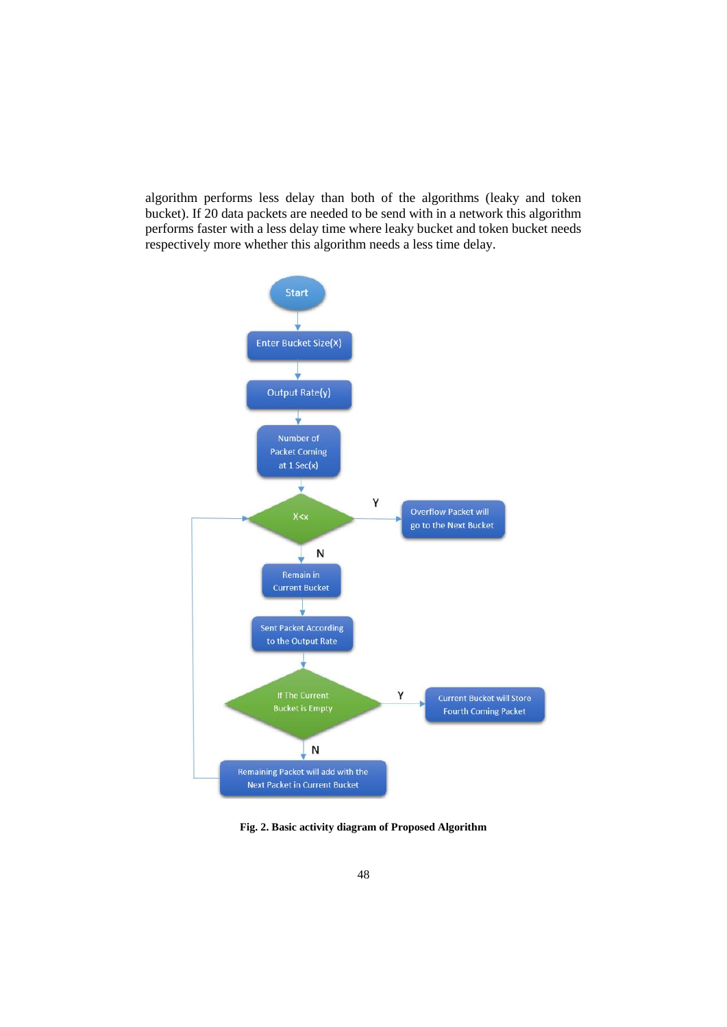algorithm performs less delay than both of the algorithms (leaky and token bucket). If 20 data packets are needed to be send with in a network this algorithm performs faster with a less delay time where leaky bucket and token bucket needs respectively more whether this algorithm needs a less time delay.



**Fig. 2. Basic activity diagram of Proposed Algorithm**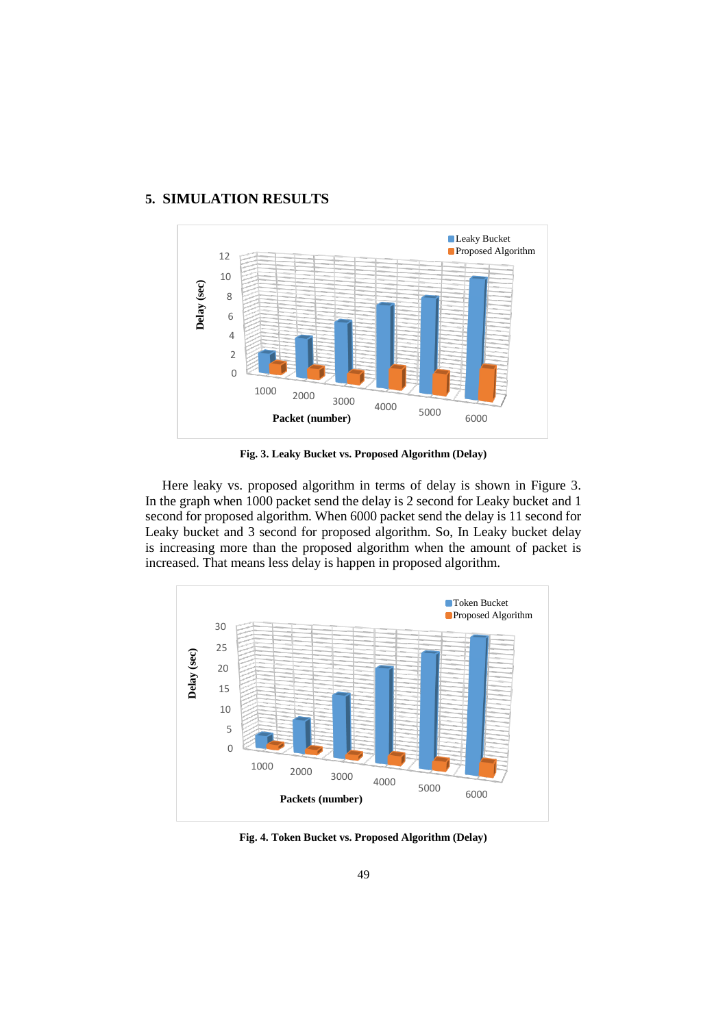

# **5. SIMULATION RESULTS**

**Fig. 3. Leaky Bucket vs. Proposed Algorithm (Delay)**

 Here leaky vs. proposed algorithm in terms of delay is shown in Figure 3. In the graph when 1000 packet send the delay is 2 second for Leaky bucket and 1 second for proposed algorithm. When 6000 packet send the delay is 11 second for Leaky bucket and 3 second for proposed algorithm. So, In Leaky bucket delay is increasing more than the proposed algorithm when the amount of packet is increased. That means less delay is happen in proposed algorithm.



**Fig. 4. Token Bucket vs. Proposed Algorithm (Delay)**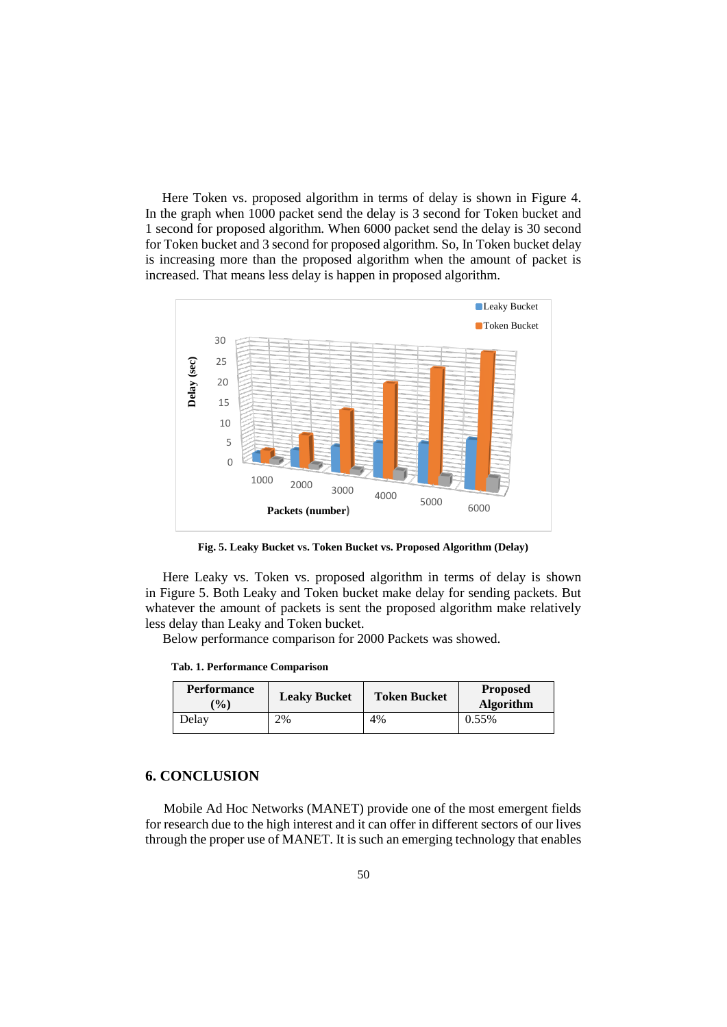Here Token vs. proposed algorithm in terms of delay is shown in Figure 4. In the graph when 1000 packet send the delay is 3 second for Token bucket and 1 second for proposed algorithm. When 6000 packet send the delay is 30 second for Token bucket and 3 second for proposed algorithm. So, In Token bucket delay is increasing more than the proposed algorithm when the amount of packet is increased. That means less delay is happen in proposed algorithm.



**Fig. 5. Leaky Bucket vs. Token Bucket vs. Proposed Algorithm (Delay)**

Here Leaky vs. Token vs. proposed algorithm in terms of delay is shown in Figure 5. Both Leaky and Token bucket make delay for sending packets. But whatever the amount of packets is sent the proposed algorithm make relatively less delay than Leaky and Token bucket.

Below performance comparison for 2000 Packets was showed.

**Tab. 1. Performance Comparison**

| <b>Performance</b><br>$\frac{1}{2}$ | <b>Leaky Bucket</b> | <b>Token Bucket</b> | <b>Proposed</b><br><b>Algorithm</b> |
|-------------------------------------|---------------------|---------------------|-------------------------------------|
| Delav                               | 2%                  | 4%                  | 0.55%                               |

## **6. CONCLUSION**

Mobile Ad Hoc Networks (MANET) provide one of the most emergent fields for research due to the high interest and it can offer in different sectors of our lives through the proper use of MANET. It is such an emerging technology that enables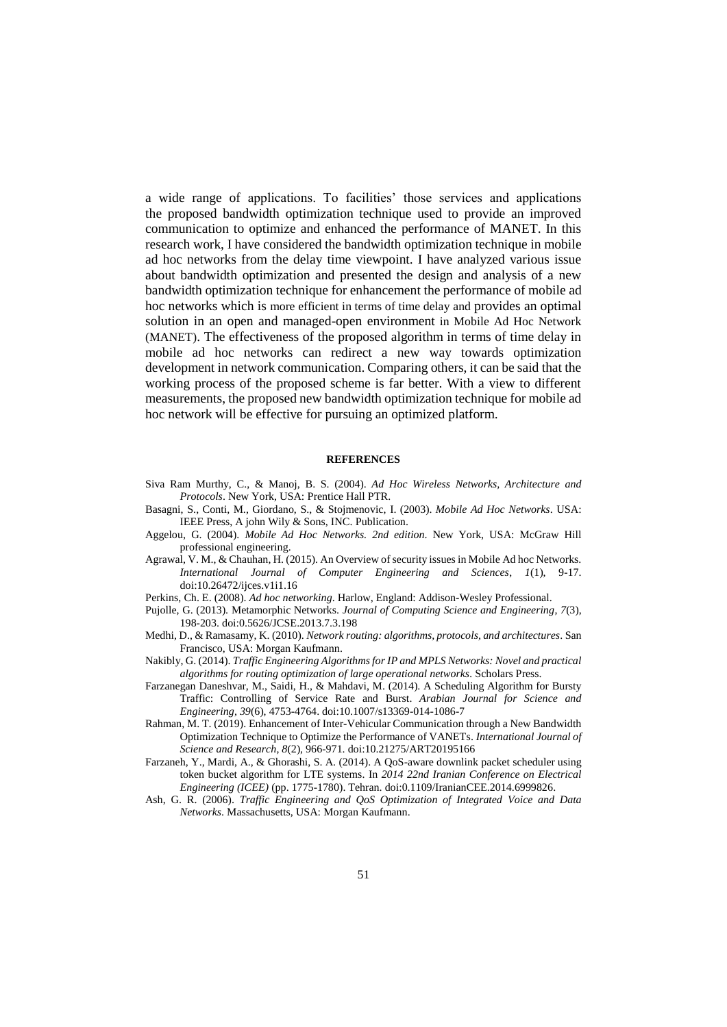a wide range of applications. To facilities' those services and applications the proposed bandwidth optimization technique used to provide an improved communication to optimize and enhanced the performance of MANET. In this research work, I have considered the bandwidth optimization technique in mobile ad hoc networks from the delay time viewpoint. I have analyzed various issue about bandwidth optimization and presented the design and analysis of a new bandwidth optimization technique for enhancement the performance of mobile ad hoc networks which is more efficient in terms of time delay and provides an optimal solution in an open and managed-open environment in Mobile Ad Hoc Network (MANET). The effectiveness of the proposed algorithm in terms of time delay in mobile ad hoc networks can redirect a new way towards optimization development in network communication. Comparing others, it can be said that the working process of the proposed scheme is far better. With a view to different measurements, the proposed new bandwidth optimization technique for mobile ad hoc network will be effective for pursuing an optimized platform.

#### **REFERENCES**

- Siva Ram Murthy, C., & Manoj, B. S. (2004). *Ad Hoc Wireless Networks, Architecture and Protocols*. New York, USA: Prentice Hall PTR.
- Basagni, S., Conti, M., Giordano, S., & Stojmenovic, I. (2003). *Mobile Ad Hoc Networks*. USA: IEEE Press, A john Wily & Sons, INC. Publication.
- Aggelou, G. (2004). *Mobile Ad Hoc Networks. 2nd edition*. New York, USA: McGraw Hill professional engineering.
- Agrawal, V. M., & Chauhan, H. (2015). An Overview of security issues in Mobile Ad hoc Networks. *International Journal of Computer Engineering and Sciences*, *1*(1), 9-17. doi:10.26472/ijces.v1i1.16
- Perkins, Ch. E. (2008). *Ad hoc networking*. Harlow, England: Addison-Wesley Professional.
- Pujolle, G. (2013). Metamorphic Networks. *Journal of Computing Science and Engineering*, *7*(3), 198-203. doi:0.5626/JCSE.2013.7.3.198
- Medhi, D., & Ramasamy, K. (2010). *Network routing: algorithms, protocols, and architectures*. San Francisco, USA: Morgan Kaufmann.
- Nakibly, G. (2014). *Traffic Engineering Algorithms for IP and MPLS Networks: Novel and practical algorithms for routing optimization of large operational networks.* Scholars Press.
- Farzanegan Daneshvar, M., Saidi, H., & Mahdavi, M. (2014). A Scheduling Algorithm for Bursty Traffic: Controlling of Service Rate and Burst. *Arabian Journal for Science and Engineering*, *39*(6), 4753-4764. doi:10.1007/s13369-014-1086-7
- Rahman, M. T. (2019). Enhancement of Inter-Vehicular Communication through a New Bandwidth Optimization Technique to Optimize the Performance of VANETs. *International Journal of Science and Research*, *8*(2), 966-971. doi:10.21275/ART20195166
- Farzaneh, Y., Mardi, A., & Ghorashi, S. A. (2014). A QoS-aware downlink packet scheduler using token bucket algorithm for LTE systems. In *2014 22nd Iranian Conference on Electrical Engineering (ICEE)* (pp. 1775-1780). Tehran. doi:0.1109/IranianCEE.2014.6999826.
- Ash, G. R. (2006). *Traffic Engineering and QoS Optimization of Integrated Voice and Data Networks*. Massachusetts, USA: Morgan Kaufmann.